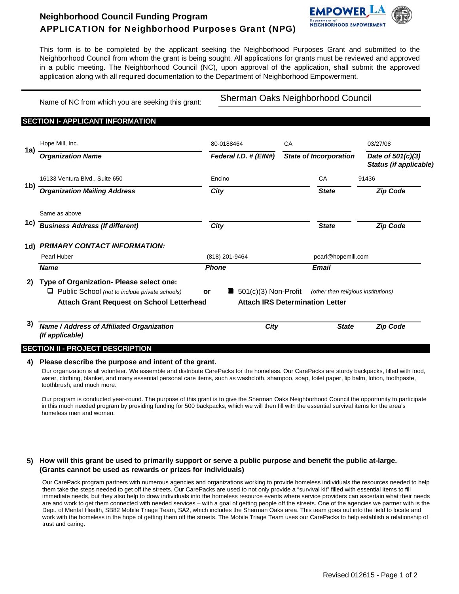# **Neighborhood Council Funding Program** APPLICATION for Neighborhood Purposes Grant (NPG)



This form is to be completed by the applicant seeking the Neighborhood Purposes Grant and submitted to the Neighborhood Council from whom the grant is being sought. All applications for grants must be reviewed and approved in a public meeting. The Neighborhood Council (NC), upon approval of the application, shall submit the approved application along with all required documentation to the Department of Neighborhood Empowerment.

Name of NC from which you are seeking this grant:

Sherman Oaks Neighborhood Council

## **SECTION I- APPLICANT INFORMATION**

|     | Hope Mill, Inc.                                                                                                                                     | 80-0188464     |                                                                               | CA |                                     | 03/27/08<br>Date of 501(c)(3)<br>Status (if applicable) |  |
|-----|-----------------------------------------------------------------------------------------------------------------------------------------------------|----------------|-------------------------------------------------------------------------------|----|-------------------------------------|---------------------------------------------------------|--|
| 1a) | <b>Organization Name</b>                                                                                                                            |                | Federal I.D. # (EIN#)                                                         |    | <b>State of Incorporation</b>       |                                                         |  |
|     | 16133 Ventura Blvd., Suite 650                                                                                                                      | Encino         |                                                                               |    | CA                                  | 91436                                                   |  |
| 1b) | <b>Organization Mailing Address</b>                                                                                                                 |                | City                                                                          |    |                                     | <b>Zip Code</b>                                         |  |
|     | Same as above                                                                                                                                       |                |                                                                               |    |                                     |                                                         |  |
| 1c) | <b>Business Address (If different)</b>                                                                                                              | City           |                                                                               |    | <b>State</b>                        | <b>Zip Code</b>                                         |  |
| 1d) | <b>PRIMARY CONTACT INFORMATION:</b>                                                                                                                 |                |                                                                               |    |                                     |                                                         |  |
|     | Pearl Huber                                                                                                                                         | (818) 201-9464 |                                                                               |    | pearl@hopemill.com                  |                                                         |  |
|     | <b>Name</b>                                                                                                                                         | <b>Phone</b>   |                                                                               |    | <b>Email</b>                        |                                                         |  |
| 2)  | Type of Organization- Please select one:<br>Public School (not to include private schools)<br>u<br><b>Attach Grant Request on School Letterhead</b> | or             | $\blacksquare$ 501(c)(3) Non-Profit<br><b>Attach IRS Determination Letter</b> |    | (other than religious institutions) |                                                         |  |
| 3)  | Name / Address of Affiliated Organization<br>(If applicable)                                                                                        |                | City                                                                          |    | <b>State</b>                        | <b>Zip Code</b>                                         |  |

#### **4) Please describe the purpose and intent of the grant.**

Our organization is all volunteer. We assemble and distribute CarePacks for the homeless. Our CarePacks are sturdy backpacks, filled with food, water, clothing, blanket, and many essential personal care items, such as washcloth, shampoo, soap, toilet paper, lip balm, lotion, toothpaste, toothbrush, and much more.

Our program is conducted year-round. The purpose of this grant is to give the Sherman Oaks Neighborhood Council the opportunity to participate in this much needed program by providing funding for 500 backpacks, which we will then fill with the essential survival items for the area's homeless men and women.

### **5) How will this grant be used to primarily support or serve a public purpose and benefit the public at-large. (Grants cannot be used as rewards or prizes for individuals)**

Our CarePack program partners with numerous agencies and organizations working to provide homeless individuals the resources needed to help them take the steps needed to get off the streets. Our CarePacks are used to not only provide a "survival kit" filled with essential items to fill immediate needs, but they also help to draw individuals into the homeless resource events where service providers can ascertain what their needs are and work to get them connected with needed services – with a goal of getting people off the streets. One of the agencies we partner with is the Dept. of Mental Health, SB82 Mobile Triage Team, SA2, which includes the Sherman Oaks area. This team goes out into the field to locate and work with the homeless in the hope of getting them off the streets. The Mobile Triage Team uses our CarePacks to help establish a relationship of trust and caring.